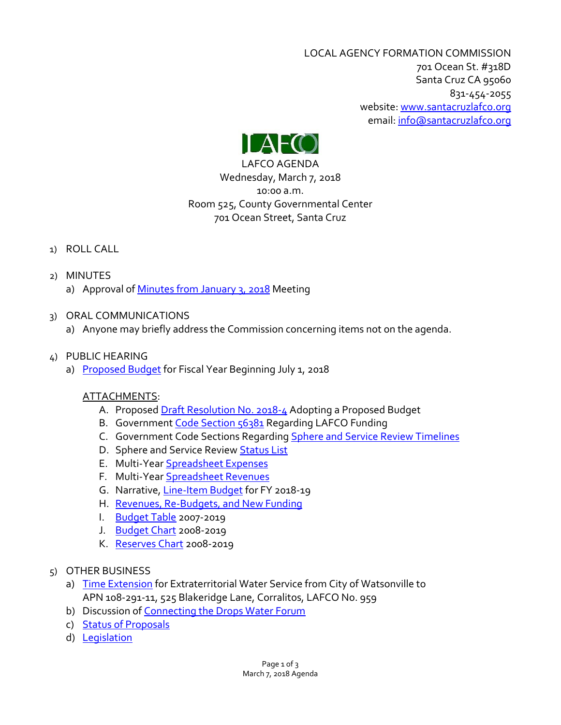LOCAL AGENCY FORMATION COMMISSION 701 Ocean St. #318D Santa Cruz CA 95060 831-454-2055 website: [www.santacruzlafco.org](http://www.santacruzlafco.org/) email[: info@santacruzlafco.org](mailto:info@santacruzlafco.org)



LAFCO AGENDA Wednesday, March 7, 2018 10:00 a.m. Room 525, County Governmental Center 701 Ocean Street, Santa Cruz

# 1) ROLL CALL

- 2) MINUTES
	- a) Approval of [Minutes from January 3,](http://www.santacruzlafco.org/wp-content/uploads/2018/02/1-3-18-Minutes.pdf) 2018 Meeting
- 3) ORAL COMMUNICATIONS
	- a) Anyone may briefly address the Commission concerning items not on the agenda.

# 4) PUBLIC HEARING

a) [Proposed Budget](http://www.santacruzlafco.org/wp-content/uploads/2018/02/4-Proposed-Budget-staff-Feb-26.pdf) for Fiscal Year Beginning July 1, 2018

# ATTACHMENTS:

- A. Propose[d Draft Resolution No. 2018-4](http://www.santacruzlafco.org/wp-content/uploads/2018/02/4a-A-Proposed-budget-res-2018.pdf) Adopting a Proposed Budget
- B. Government [Code Section 56381](http://www.santacruzlafco.org/wp-content/uploads/2018/02/4a-B-Gov-Code-56381.pdf) Regarding LAFCO Funding
- C. Government Code Sections Regarding [Sphere and Service Review Timelines](http://www.santacruzlafco.org/wp-content/uploads/2018/02/4a-C-Timelines.pdf)
- D. Sphere and Service Revie[w Status List](http://www.santacruzlafco.org/wp-content/uploads/2018/02/4a-D-SOIs-MSRs-as-of-Feb-22-2018.pdf)
- E. Multi-Year [Spreadsheet Expenses](http://www.santacruzlafco.org/wp-content/uploads/2018/02/4a-E-Speadsheet-Expenditures.pdf)
- F. Multi-Year [Spreadsheet Revenues](http://www.santacruzlafco.org/wp-content/uploads/2018/02/4a-F-Spreadsheet-Revenue-3.pdf)
- G. Narrative, [Line-Item Budget](http://www.santacruzlafco.org/wp-content/uploads/2018/02/4a-G-Line-Item-Narrative-FY-18-19-Proposed.pdf) for FY 2018-19
- H. [Revenues, Re-Budgets, and New Funding](http://www.santacruzlafco.org/wp-content/uploads/2018/02/4a-H-Revenues-Re-Budgets-and-New-Funding-2018.pdf)
- I. [Budget Table](http://www.santacruzlafco.org/wp-content/uploads/2018/02/4a-I-Budgets-2007-19.pdf) 2007-2019
- J. [Budget Chart](http://www.santacruzlafco.org/wp-content/uploads/2018/02/4a-J-Budget-and-Contributions-Chart-blue.pdf) 2008-2019
- K. [Reserves Chart](http://www.santacruzlafco.org/wp-content/uploads/2018/02/4a-K-Reserves-Chart-2008-2019.pdf) 2008-2019
- 5) OTHER BUSINESS
	- a) [Time Extension](http://www.santacruzlafco.org/wp-content/uploads/2018/02/5a-ALL-959-extension.pdf) for Extraterritorial Water Service from City of Watsonville to APN 108-291-11, 525 Blakeridge Lane, Corralitos, LAFCO No. 959
	- b) Discussion of [Connecting the Drops Water Forum](http://www.santacruzlafco.org/wp-content/uploads/2018/02/5b-Connecting-the-Drops-2018-ALL.pdf)
	- c) [Status of Proposals](http://www.santacruzlafco.org/wp-content/uploads/2018/02/Status-of-Proposals-2-22-18.pdf)
	- d) [Legislation](http://www.santacruzlafco.org/wp-content/uploads/2018/02/5d-Legislative-Report-Tracking-Sheet-Mar-2018.pdf)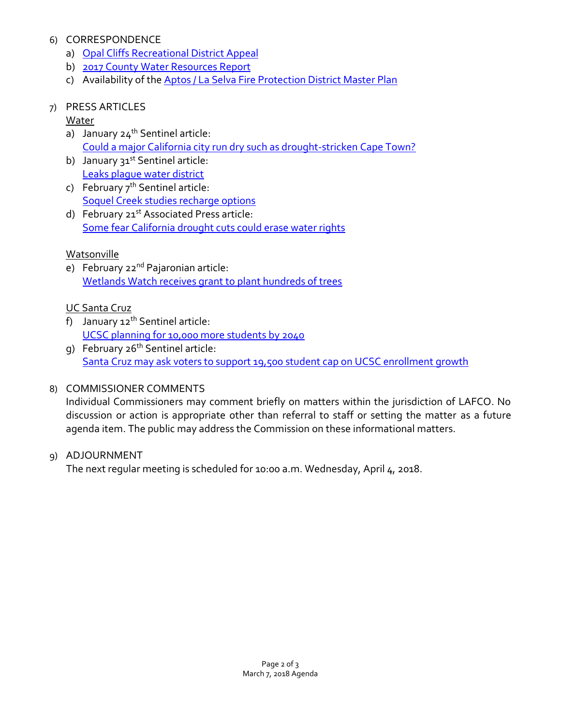### 6) CORRESPONDENCE

- a) [Opal Cliffs Recreational District Appeal](http://www.santacruzlafco.org/wp-content/uploads/2018/02/6a-Opal-Cliffs-appeal.pdf)
- b) [2017 County Water Resources Report](http://www.santacruzlafco.org/wp-content/uploads/2018/02/6b-County-2017-Water-Resources-Report-ALL.pdf)
- c) Availability of the [Aptos / La Selva Fire Protection District Master Plan](http://www.santacruzlafco.org/wp-content/uploads/2018/02/6c-Aptos-La-Selva-Master-Plan-ALL.pdf)

### 7) PRESS ARTICLES

### Water

- a) January  $24^{th}$  Sentinel article: [Could a major California city run dry such as drought-stricken Cape Town?](http://www.santacruzlafco.org/wp-content/uploads/2018/02/7a-Could-a-major-city-run-dry.pdf)
- b) January  $31^{st}$  Sentinel article: [Leaks plague water district](http://www.santacruzlafco.org/wp-content/uploads/2018/02/7b-Leaks.pdf)
- c) February  $7<sup>th</sup>$  Sentinel article: [Soquel Creek studies recharge options](http://www.santacruzlafco.org/wp-content/uploads/2018/02/7c-Soquel-Creek.pdf)
- d) February 21<sup>st</sup> Associated Press article: [Some fear California drought cuts could erase water rights](http://www.santacruzlafco.org/wp-content/uploads/2018/02/7d-Some-fears.pdf)

### Watsonville

e) February 22<sup>nd</sup> Pajaronian article: [Wetlands Watch receives grant to plant hundreds of trees](http://www.santacruzlafco.org/wp-content/uploads/2018/02/7e-Watsonville-Wetlands-trees.pdf)

#### UC Santa Cruz

- f) January  $12^{th}$  Sentinel article: [UCSC planning for 10,000 more students by 2040](http://www.santacruzlafco.org/wp-content/uploads/2018/02/7f-UCSC-planning-for-10000.pdf)
- g) February 26th Sentinel article: [Santa Cruz may ask voters to support 19,500 student cap on UCSC enrollment growth](http://www.santacruzlafco.org/wp-content/uploads/2018/02/7g-UCSC-initiative-2018.pdf)

### 8) COMMISSIONER COMMENTS

Individual Commissioners may comment briefly on matters within the jurisdiction of LAFCO. No discussion or action is appropriate other than referral to staff or setting the matter as a future agenda item. The public may address the Commission on these informational matters.

#### 9) ADJOURNMENT

The next regular meeting is scheduled for 10:00 a.m. Wednesday, April 4, 2018.